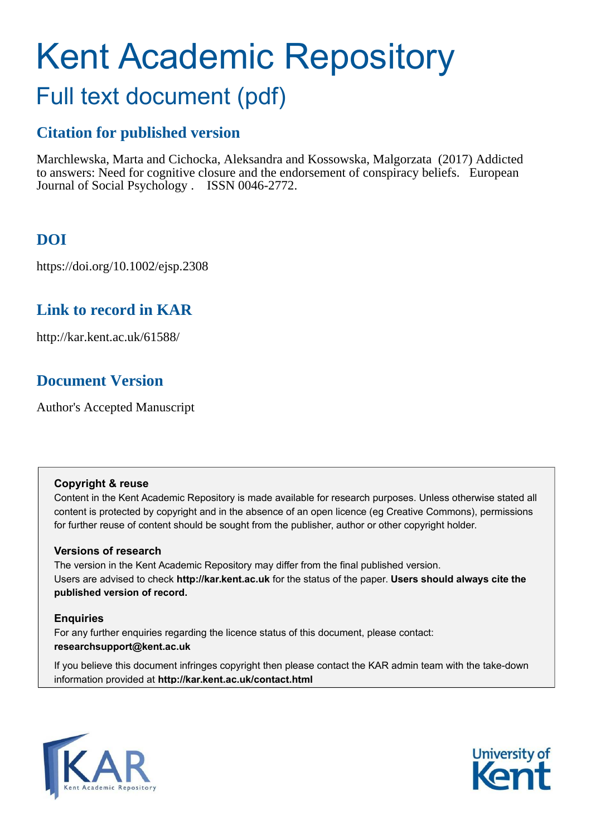# Kent Academic Repository

## Full text document (pdf)

## **Citation for published version**

Marchlewska, Marta and Cichocka, Aleksandra and Kossowska, Malgorzata (2017) Addicted to answers: Need for cognitive closure and the endorsement of conspiracy beliefs. European Journal of Social Psychology . ISSN 0046-2772.

## **DOI**

https://doi.org/10.1002/ejsp.2308

## **Link to record in KAR**

http://kar.kent.ac.uk/61588/

## **Document Version**

Author's Accepted Manuscript

#### **Copyright & reuse**

Content in the Kent Academic Repository is made available for research purposes. Unless otherwise stated all content is protected by copyright and in the absence of an open licence (eg Creative Commons), permissions for further reuse of content should be sought from the publisher, author or other copyright holder.

#### **Versions of research**

The version in the Kent Academic Repository may differ from the final published version. Users are advised to check **http://kar.kent.ac.uk** for the status of the paper. **Users should always cite the published version of record.**

#### **Enquiries**

For any further enquiries regarding the licence status of this document, please contact: **researchsupport@kent.ac.uk**

If you believe this document infringes copyright then please contact the KAR admin team with the take-down information provided at **http://kar.kent.ac.uk/contact.html**



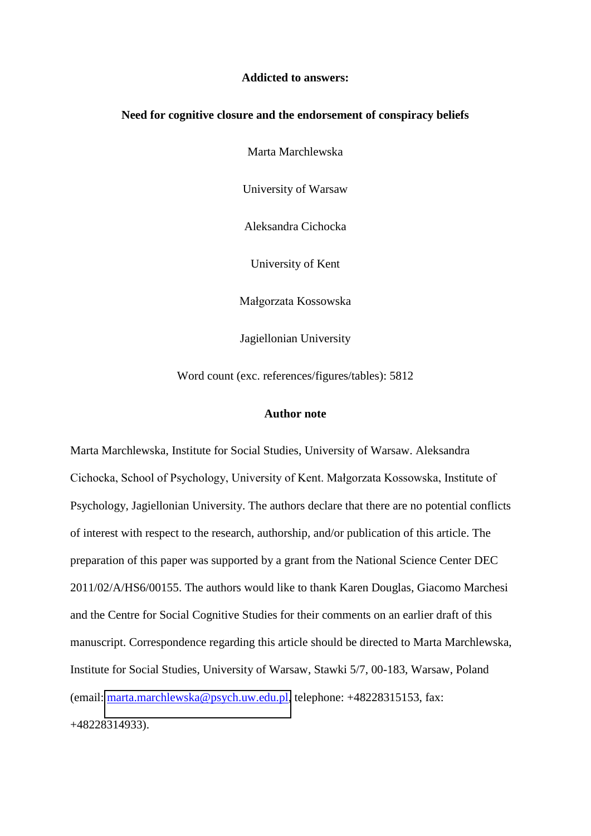#### **Addicted to answers:**

#### **Need for cognitive closure and the endorsement of conspiracy beliefs**

Marta Marchlewska

University of Warsaw

Aleksandra Cichocka

University of Kent

Małgorzata Kossowska

Jagiellonian University

Word count (exc. references/figures/tables): 5812

#### **Author note**

Marta Marchlewska, Institute for Social Studies, University of Warsaw. Aleksandra Cichocka, School of Psychology, University of Kent. Małgorzata Kossowska, Institute of Psychology, Jagiellonian University. The authors declare that there are no potential conflicts of interest with respect to the research, authorship, and/or publication of this article. The preparation of this paper was supported by a grant from the National Science Center DEC 2011/02/A/HS6/00155. The authors would like to thank Karen Douglas, Giacomo Marchesi and the Centre for Social Cognitive Studies for their comments on an earlier draft of this manuscript. Correspondence regarding this article should be directed to Marta Marchlewska, Institute for Social Studies, University of Warsaw, Stawki 5/7, 00-183, Warsaw, Poland (email: [marta.marchlewska@psych.uw.edu.pl,](mailto:marta.marchlewska@psych.uw.edu.pl) telephone: +48228315153, fax: +48228314933).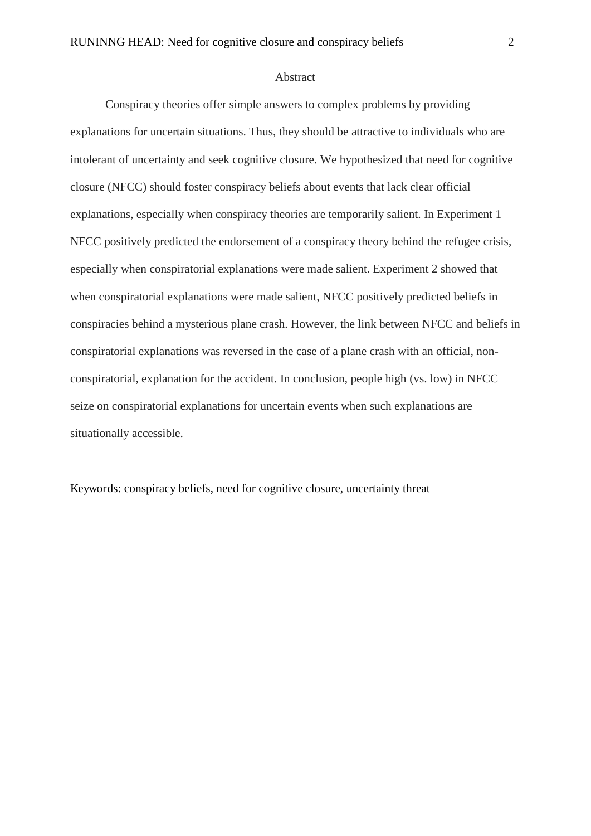#### Abstract

Conspiracy theories offer simple answers to complex problems by providing explanations for uncertain situations. Thus, they should be attractive to individuals who are intolerant of uncertainty and seek cognitive closure. We hypothesized that need for cognitive closure (NFCC) should foster conspiracy beliefs about events that lack clear official explanations, especially when conspiracy theories are temporarily salient. In Experiment 1 NFCC positively predicted the endorsement of a conspiracy theory behind the refugee crisis, especially when conspiratorial explanations were made salient. Experiment 2 showed that when conspiratorial explanations were made salient, NFCC positively predicted beliefs in conspiracies behind a mysterious plane crash. However, the link between NFCC and beliefs in conspiratorial explanations was reversed in the case of a plane crash with an official, nonconspiratorial, explanation for the accident. In conclusion, people high (vs. low) in NFCC seize on conspiratorial explanations for uncertain events when such explanations are situationally accessible.

Keywords: conspiracy beliefs, need for cognitive closure, uncertainty threat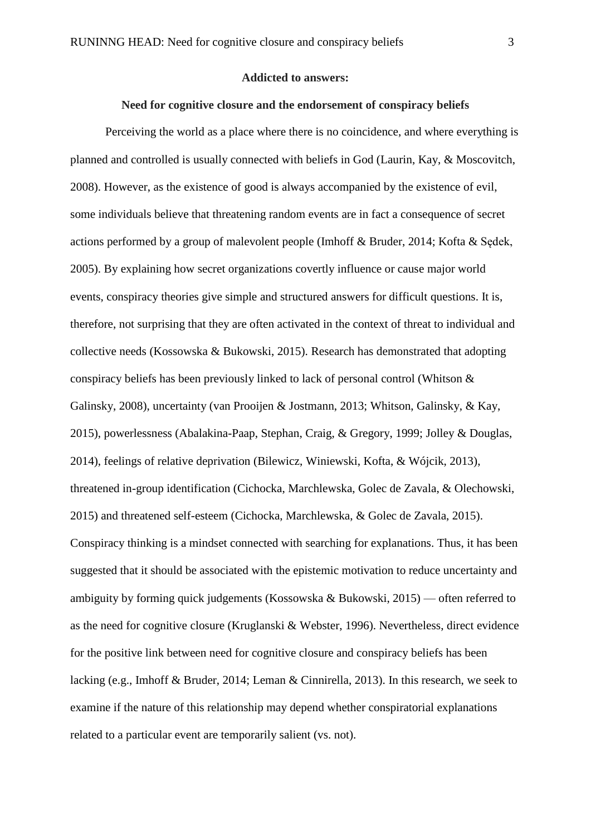#### **Addicted to answers:**

#### **Need for cognitive closure and the endorsement of conspiracy beliefs**

Perceiving the world as a place where there is no coincidence, and where everything is planned and controlled is usually connected with beliefs in God (Laurin, Kay, & Moscovitch, 2008). However, as the existence of good is always accompanied by the existence of evil, some individuals believe that threatening random events are in fact a consequence of secret actions performed by a group of malevolent people (Imhoff  $\&$  Bruder, 2014; Kofta  $\&$  Sedek, 2005). By explaining how secret organizations covertly influence or cause major world events, conspiracy theories give simple and structured answers for difficult questions. It is, therefore, not surprising that they are often activated in the context of threat to individual and collective needs (Kossowska & Bukowski, 2015). Research has demonstrated that adopting conspiracy beliefs has been previously linked to lack of personal control (Whitson & Galinsky, 2008), uncertainty (van Prooijen & Jostmann, 2013; Whitson, Galinsky, & Kay, 2015), powerlessness (Abalakina-Paap, Stephan, Craig, & Gregory, 1999; Jolley & Douglas, 2014), feelings of relative deprivation (Bilewicz, Winiewski, Kofta, & Wójcik, 2013), threatened in-group identification (Cichocka, Marchlewska, Golec de Zavala, & Olechowski, 2015) and threatened self-esteem (Cichocka, Marchlewska, & Golec de Zavala, 2015). Conspiracy thinking is a mindset connected with searching for explanations. Thus, it has been suggested that it should be associated with the epistemic motivation to reduce uncertainty and ambiguity by forming quick judgements (Kossowska & Bukowski, 2015) — often referred to as the need for cognitive closure (Kruglanski & Webster, 1996). Nevertheless, direct evidence for the positive link between need for cognitive closure and conspiracy beliefs has been lacking (e.g., Imhoff & Bruder, 2014; Leman & Cinnirella, 2013). In this research, we seek to examine if the nature of this relationship may depend whether conspiratorial explanations related to a particular event are temporarily salient (vs. not).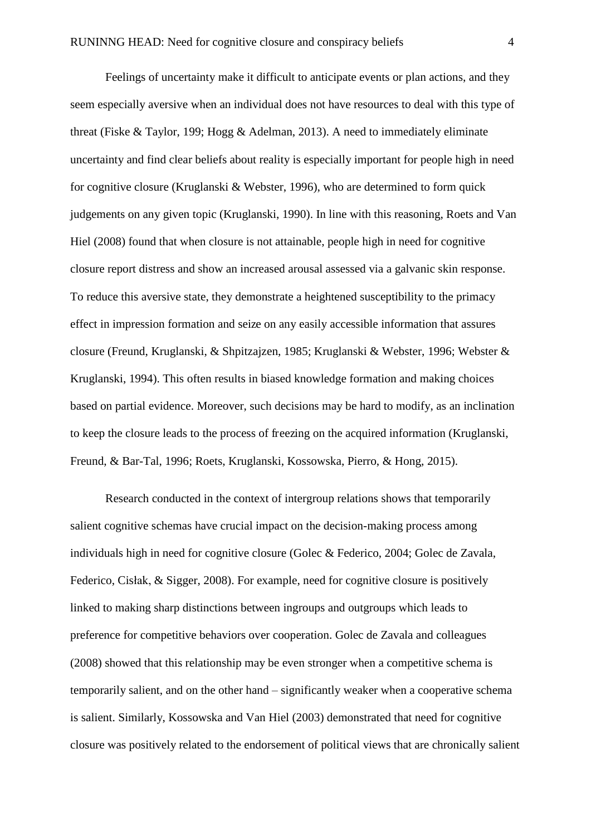Feelings of uncertainty make it difficult to anticipate events or plan actions, and they seem especially aversive when an individual does not have resources to deal with this type of threat (Fiske & Taylor, 199; Hogg & Adelman, 2013). A need to immediately eliminate uncertainty and find clear beliefs about reality is especially important for people high in need for cognitive closure (Kruglanski & Webster, 1996), who are determined to form quick judgements on any given topic (Kruglanski, 1990). In line with this reasoning, Roets and Van Hiel (2008) found that when closure is not attainable, people high in need for cognitive closure report distress and show an increased arousal assessed via a galvanic skin response. To reduce this aversive state, they demonstrate a heightened susceptibility to the primacy effect in impression formation and seize on any easily accessible information that assures closure (Freund, Kruglanski, & Shpitzajzen, 1985; Kruglanski & Webster, 1996; Webster & Kruglanski, 1994). This often results in biased knowledge formation and making choices based on partial evidence. Moreover, such decisions may be hard to modify, as an inclination to keep the closure leads to the process of freezing on the acquired information (Kruglanski, Freund, & Bar-Tal, 1996; Roets, Kruglanski, Kossowska, Pierro, & Hong, 2015).

 Research conducted in the context of intergroup relations shows that temporarily salient cognitive schemas have crucial impact on the decision-making process among individuals high in need for cognitive closure (Golec & Federico, 2004; Golec de Zavala, Federico, Cisłak, & Sigger, 2008). For example, need for cognitive closure is positively linked to making sharp distinctions between ingroups and outgroups which leads to preference for competitive behaviors over cooperation. Golec de Zavala and colleagues (2008) showed that this relationship may be even stronger when a competitive schema is temporarily salient, and on the other hand – significantly weaker when a cooperative schema is salient. Similarly, Kossowska and Van Hiel (2003) demonstrated that need for cognitive closure was positively related to the endorsement of political views that are chronically salient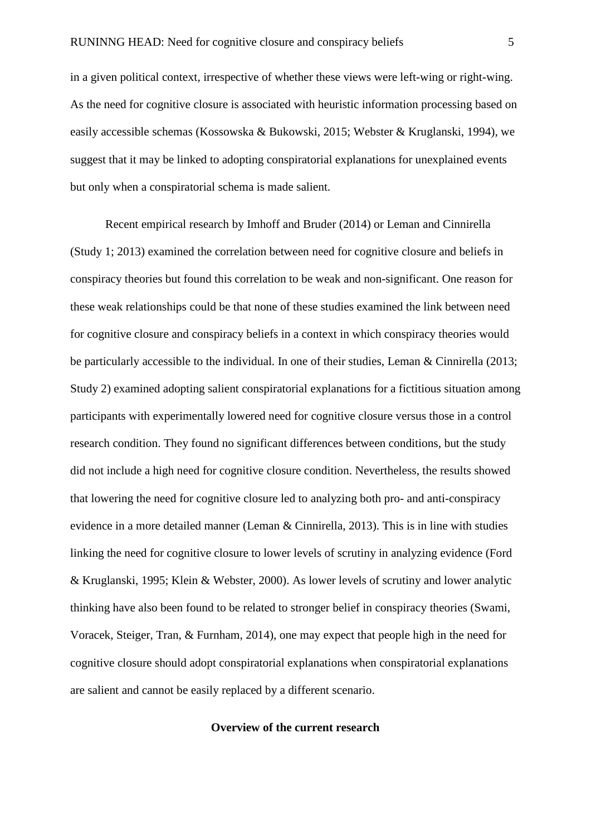in a given political context, irrespective of whether these views were left-wing or right-wing. As the need for cognitive closure is associated with heuristic information processing based on easily accessible schemas (Kossowska & Bukowski, 2015; Webster & Kruglanski, 1994), we suggest that it may be linked to adopting conspiratorial explanations for unexplained events but only when a conspiratorial schema is made salient.

Recent empirical research by Imhoff and Bruder (2014) or Leman and Cinnirella (Study 1; 2013) examined the correlation between need for cognitive closure and beliefs in conspiracy theories but found this correlation to be weak and non-significant. One reason for these weak relationships could be that none of these studies examined the link between need for cognitive closure and conspiracy beliefs in a context in which conspiracy theories would be particularly accessible to the individual. In one of their studies, Leman & Cinnirella (2013; Study 2) examined adopting salient conspiratorial explanations for a fictitious situation among participants with experimentally lowered need for cognitive closure versus those in a control research condition. They found no significant differences between conditions, but the study did not include a high need for cognitive closure condition. Nevertheless, the results showed that lowering the need for cognitive closure led to analyzing both pro- and anti-conspiracy evidence in a more detailed manner (Leman & Cinnirella, 2013). This is in line with studies linking the need for cognitive closure to lower levels of scrutiny in analyzing evidence (Ford & Kruglanski, 1995; Klein & Webster, 2000). As lower levels of scrutiny and lower analytic thinking have also been found to be related to stronger belief in conspiracy theories (Swami, Voracek, Steiger, Tran, & Furnham, 2014), one may expect that people high in the need for cognitive closure should adopt conspiratorial explanations when conspiratorial explanations are salient and cannot be easily replaced by a different scenario.

#### **Overview of the current research**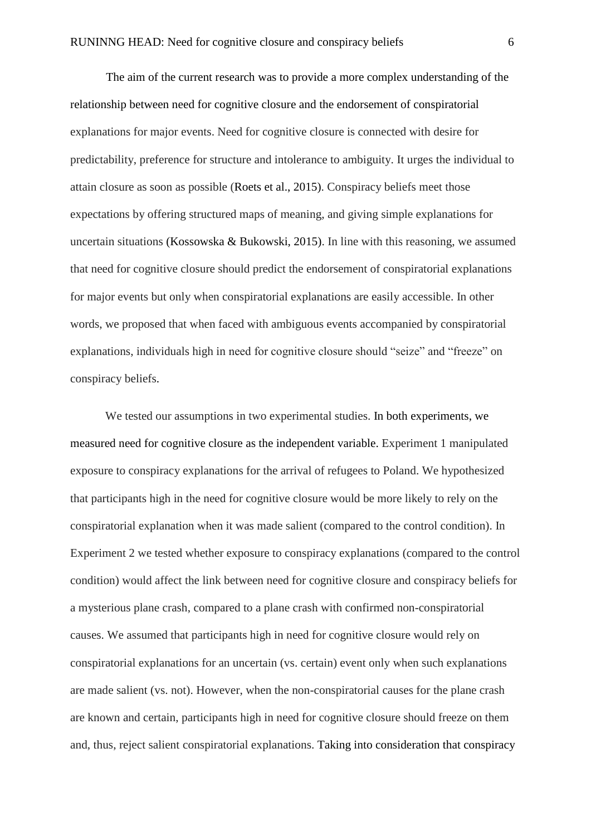The aim of the current research was to provide a more complex understanding of the relationship between need for cognitive closure and the endorsement of conspiratorial explanations for major events. Need for cognitive closure is connected with desire for predictability, preference for structure and intolerance to ambiguity. It urges the individual to attain closure as soon as possible (Roets et al., 2015). Conspiracy beliefs meet those expectations by offering structured maps of meaning, and giving simple explanations for uncertain situations (Kossowska & Bukowski, 2015). In line with this reasoning, we assumed that need for cognitive closure should predict the endorsement of conspiratorial explanations for major events but only when conspiratorial explanations are easily accessible. In other words, we proposed that when faced with ambiguous events accompanied by conspiratorial explanations, individuals high in need for cognitive closure should "seize" and "freeze" on conspiracy beliefs.

We tested our assumptions in two experimental studies. In both experiments, we measured need for cognitive closure as the independent variable. Experiment 1 manipulated exposure to conspiracy explanations for the arrival of refugees to Poland. We hypothesized that participants high in the need for cognitive closure would be more likely to rely on the conspiratorial explanation when it was made salient (compared to the control condition). In Experiment 2 we tested whether exposure to conspiracy explanations (compared to the control condition) would affect the link between need for cognitive closure and conspiracy beliefs for a mysterious plane crash, compared to a plane crash with confirmed non-conspiratorial causes. We assumed that participants high in need for cognitive closure would rely on conspiratorial explanations for an uncertain (vs. certain) event only when such explanations are made salient (vs. not). However, when the non-conspiratorial causes for the plane crash are known and certain, participants high in need for cognitive closure should freeze on them and, thus, reject salient conspiratorial explanations. Taking into consideration that conspiracy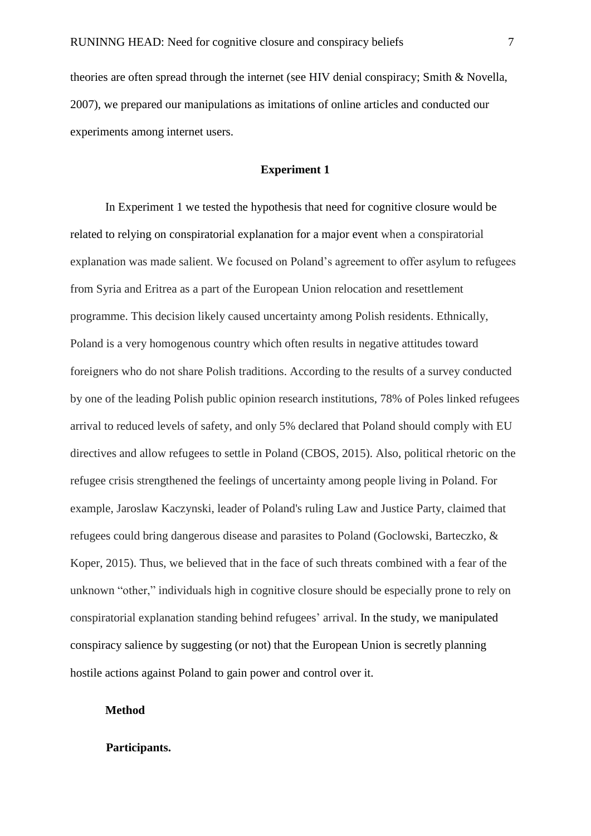theories are often spread through the internet (see HIV denial conspiracy; Smith & Novella, 2007), we prepared our manipulations as imitations of online articles and conducted our experiments among internet users.

#### **Experiment 1**

In Experiment 1 we tested the hypothesis that need for cognitive closure would be related to relying on conspiratorial explanation for a major event when a conspiratorial explanation was made salient. We focused on Poland's agreement to offer asylum to refugees from Syria and Eritrea as a part of the European Union relocation and resettlement programme. This decision likely caused uncertainty among Polish residents. Ethnically, Poland is a very homogenous country which often results in negative attitudes toward foreigners who do not share Polish traditions. According to the results of a survey conducted by one of the leading Polish public opinion research institutions, 78% of Poles linked refugees arrival to reduced levels of safety, and only 5% declared that Poland should comply with EU directives and allow refugees to settle in Poland (CBOS, 2015). Also, political rhetoric on the refugee crisis strengthened the feelings of uncertainty among people living in Poland. For example, Jaroslaw Kaczynski, leader of Poland's ruling Law and Justice Party, claimed that refugees could bring dangerous disease and parasites to Poland (Goclowski, Barteczko, & Koper, 2015). Thus, we believed that in the face of such threats combined with a fear of the unknown "other," individuals high in cognitive closure should be especially prone to rely on conspiratorial explanation standing behind refugees' arrival. In the study, we manipulated conspiracy salience by suggesting (or not) that the European Union is secretly planning hostile actions against Poland to gain power and control over it.

#### **Method**

#### **Participants.**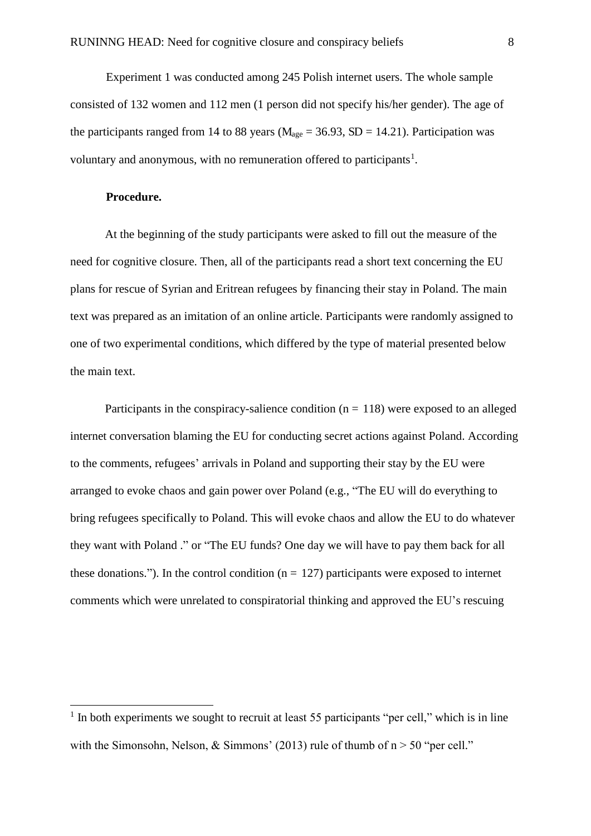Experiment 1 was conducted among 245 Polish internet users. The whole sample consisted of 132 women and 112 men (1 person did not specify his/her gender). The age of the participants ranged from 14 to 88 years ( $M_{\text{age}} = 36.93$ , SD = 14.21). Participation was voluntary and anonymous, with no remuneration offered to participants<sup>1</sup>.

#### **Procedure.**

 $\overline{a}$ 

At the beginning of the study participants were asked to fill out the measure of the need for cognitive closure. Then, all of the participants read a short text concerning the EU plans for rescue of Syrian and Eritrean refugees by financing their stay in Poland. The main text was prepared as an imitation of an online article. Participants were randomly assigned to one of two experimental conditions, which differed by the type of material presented below the main text.

Participants in the conspiracy-salience condition ( $n = 118$ ) were exposed to an alleged internet conversation blaming the EU for conducting secret actions against Poland. According to the comments, refugees' arrivals in Poland and supporting their stay by the EU were arranged to evoke chaos and gain power over Poland (e.g., "The EU will do everything to bring refugees specifically to Poland. This will evoke chaos and allow the EU to do whatever they want with Poland ." or "The EU funds? One day we will have to pay them back for all these donations."). In the control condition ( $n = 127$ ) participants were exposed to internet comments which were unrelated to conspiratorial thinking and approved the EU's rescuing

<sup>&</sup>lt;sup>1</sup> In both experiments we sought to recruit at least 55 participants "per cell," which is in line with the Simonsohn, Nelson, & Simmons' (2013) rule of thumb of  $n > 50$  "per cell."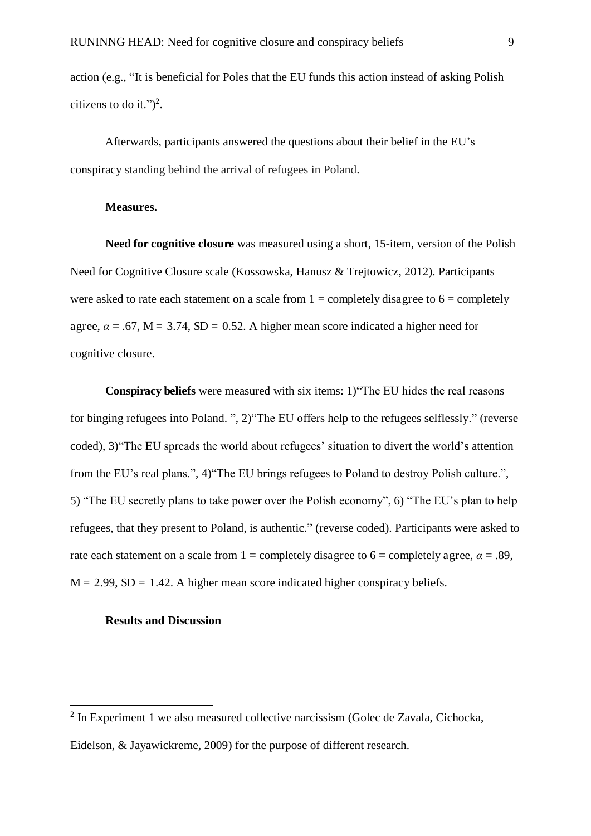action (e.g., "It is beneficial for Poles that the EU funds this action instead of asking Polish citizens to do it." $)^2$ .

Afterwards, participants answered the questions about their belief in the EU's conspiracy standing behind the arrival of refugees in Poland.

#### **Measures.**

**Need for cognitive closure** was measured using a short, 15-item, version of the Polish Need for Cognitive Closure scale (Kossowska, Hanusz & Trejtowicz, 2012). Participants were asked to rate each statement on a scale from  $1 =$  completely disagree to  $6 =$  completely agree,  $\alpha$  = .67, M = 3.74, SD = 0.52. A higher mean score indicated a higher need for cognitive closure.

**Conspiracy beliefs** were measured with six items: 1)"The EU hides the real reasons for binging refugees into Poland. ", 2)"The EU offers help to the refugees selflessly." (reverse coded), 3)"The EU spreads the world about refugees' situation to divert the world's attention from the EU's real plans.", 4)"The EU brings refugees to Poland to destroy Polish culture.", 5) "The EU secretly plans to take power over the Polish economy", 6) "The EU's plan to help refugees, that they present to Poland, is authentic." (reverse coded). Participants were asked to rate each statement on a scale from  $1 =$  completely disagree to  $6 =$  completely agree,  $\alpha = .89$ ,  $M = 2.99$ ,  $SD = 1.42$ . A higher mean score indicated higher conspiracy beliefs.

#### **Results and Discussion**

 $\overline{a}$ 

<sup>&</sup>lt;sup>2</sup> In Experiment 1 we also measured collective narcissism (Golec de Zavala, Cichocka, Eidelson, & Jayawickreme, 2009) for the purpose of different research.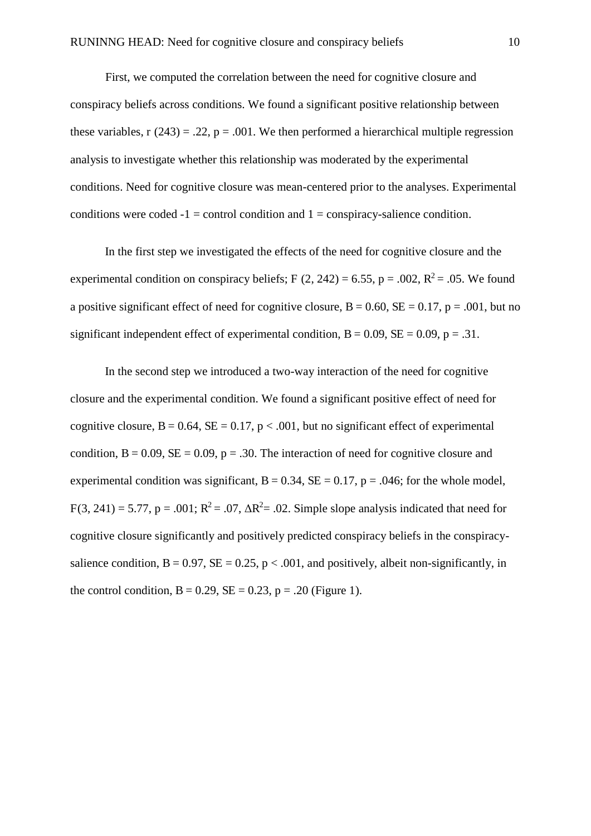First, we computed the correlation between the need for cognitive closure and conspiracy beliefs across conditions. We found a significant positive relationship between these variables,  $r(243) = .22$ ,  $p = .001$ . We then performed a hierarchical multiple regression analysis to investigate whether this relationship was moderated by the experimental conditions. Need for cognitive closure was mean-centered prior to the analyses. Experimental conditions were coded  $-1 =$  control condition and  $1 =$  conspiracy-salience condition.

In the first step we investigated the effects of the need for cognitive closure and the experimental condition on conspiracy beliefs; F  $(2, 242) = 6.55$ , p = .002, R<sup>2</sup> = .05. We found a positive significant effect of need for cognitive closure,  $B = 0.60$ ,  $SE = 0.17$ ,  $p = .001$ , but no significant independent effect of experimental condition,  $B = 0.09$ ,  $SE = 0.09$ ,  $p = .31$ .

In the second step we introduced a two-way interaction of the need for cognitive closure and the experimental condition. We found a significant positive effect of need for cognitive closure,  $B = 0.64$ ,  $SE = 0.17$ ,  $p < .001$ , but no significant effect of experimental condition,  $B = 0.09$ ,  $SE = 0.09$ ,  $p = .30$ . The interaction of need for cognitive closure and experimental condition was significant,  $B = 0.34$ ,  $SE = 0.17$ ,  $p = .046$ ; for the whole model,  $F(3, 241) = 5.77$ ,  $p = .001$ ;  $R^2 = .07$ ,  $\Delta R^2 = .02$ . Simple slope analysis indicated that need for cognitive closure significantly and positively predicted conspiracy beliefs in the conspiracysalience condition,  $B = 0.97$ ,  $SE = 0.25$ ,  $p < .001$ , and positively, albeit non-significantly, in the control condition,  $B = 0.29$ ,  $SE = 0.23$ ,  $p = .20$  (Figure 1).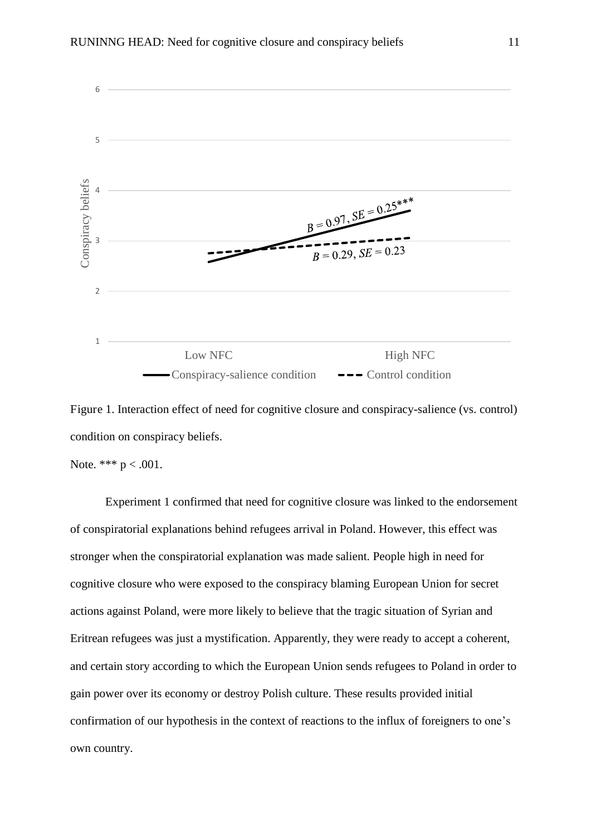

Figure 1. Interaction effect of need for cognitive closure and conspiracy-salience (vs. control) condition on conspiracy beliefs.

Note. \*\*\*  $p < .001$ .

Experiment 1 confirmed that need for cognitive closure was linked to the endorsement of conspiratorial explanations behind refugees arrival in Poland. However, this effect was stronger when the conspiratorial explanation was made salient. People high in need for cognitive closure who were exposed to the conspiracy blaming European Union for secret actions against Poland, were more likely to believe that the tragic situation of Syrian and Eritrean refugees was just a mystification. Apparently, they were ready to accept a coherent, and certain story according to which the European Union sends refugees to Poland in order to gain power over its economy or destroy Polish culture. These results provided initial confirmation of our hypothesis in the context of reactions to the influx of foreigners to one's own country.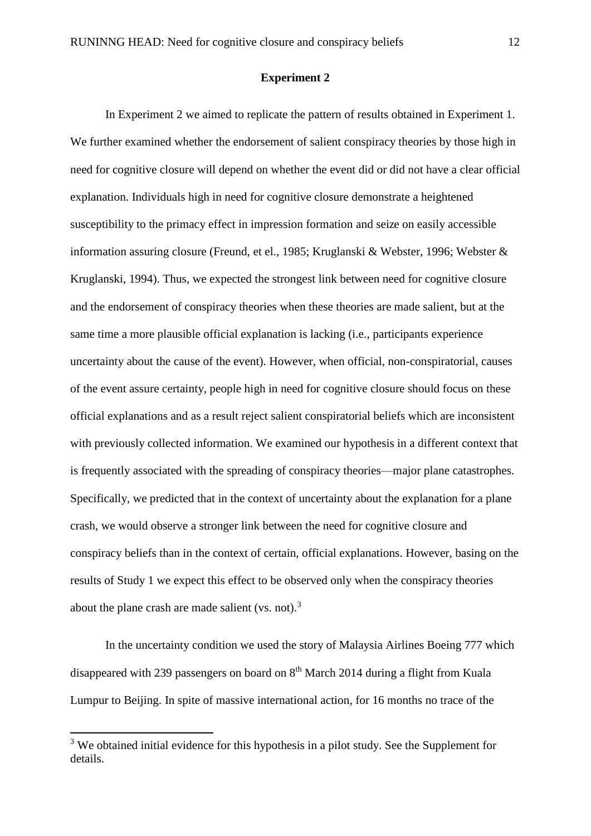#### **Experiment 2**

In Experiment 2 we aimed to replicate the pattern of results obtained in Experiment 1. We further examined whether the endorsement of salient conspiracy theories by those high in need for cognitive closure will depend on whether the event did or did not have a clear official explanation. Individuals high in need for cognitive closure demonstrate a heightened susceptibility to the primacy effect in impression formation and seize on easily accessible information assuring closure (Freund, et el., 1985; Kruglanski & Webster, 1996; Webster & Kruglanski, 1994). Thus, we expected the strongest link between need for cognitive closure and the endorsement of conspiracy theories when these theories are made salient, but at the same time a more plausible official explanation is lacking (i.e., participants experience uncertainty about the cause of the event). However, when official, non-conspiratorial, causes of the event assure certainty, people high in need for cognitive closure should focus on these official explanations and as a result reject salient conspiratorial beliefs which are inconsistent with previously collected information. We examined our hypothesis in a different context that is frequently associated with the spreading of conspiracy theories—major plane catastrophes. Specifically, we predicted that in the context of uncertainty about the explanation for a plane crash, we would observe a stronger link between the need for cognitive closure and conspiracy beliefs than in the context of certain, official explanations. However, basing on the results of Study 1 we expect this effect to be observed only when the conspiracy theories about the plane crash are made salient (vs. not). $3$ 

In the uncertainty condition we used the story of Malaysia Airlines Boeing 777 which disappeared with 239 passengers on board on  $8<sup>th</sup>$  March 2014 during a flight from Kuala Lumpur to Beijing. In spite of massive international action, for 16 months no trace of the

 $\overline{a}$ 

 $3$  We obtained initial evidence for this hypothesis in a pilot study. See the Supplement for details.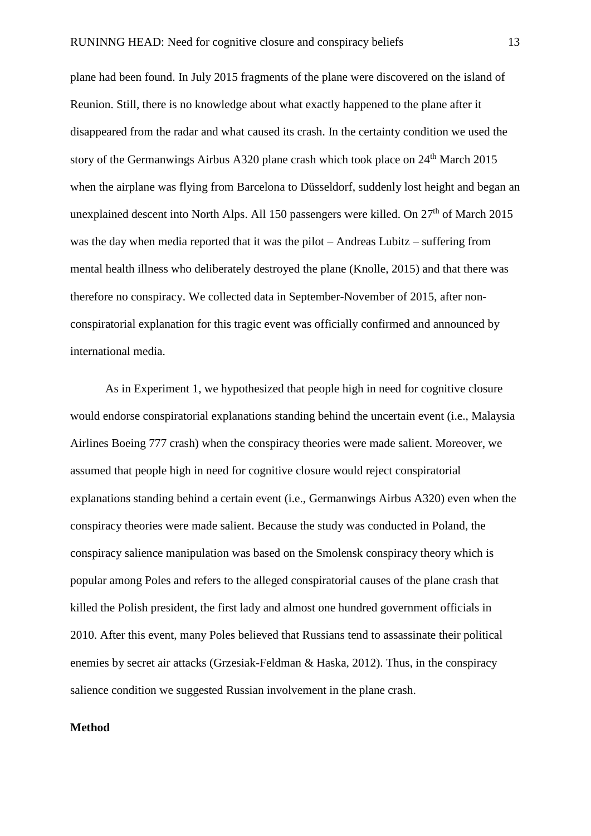plane had been found. In July 2015 fragments of the plane were discovered on the island of Reunion. Still, there is no knowledge about what exactly happened to the plane after it disappeared from the radar and what caused its crash. In the certainty condition we used the story of the Germanwings Airbus A320 plane crash which took place on 24<sup>th</sup> March 2015 when the airplane was flying from Barcelona to Düsseldorf, suddenly lost height and began an unexplained descent into North Alps. All 150 passengers were killed. On  $27<sup>th</sup>$  of March 2015 was the day when media reported that it was the pilot – Andreas Lubitz – suffering from mental health illness who deliberately destroyed the plane (Knolle, 2015) and that there was therefore no conspiracy. We collected data in September-November of 2015, after nonconspiratorial explanation for this tragic event was officially confirmed and announced by international media.

As in Experiment 1, we hypothesized that people high in need for cognitive closure would endorse conspiratorial explanations standing behind the uncertain event (i.e., Malaysia Airlines Boeing 777 crash) when the conspiracy theories were made salient. Moreover, we assumed that people high in need for cognitive closure would reject conspiratorial explanations standing behind a certain event (i.e., Germanwings Airbus A320) even when the conspiracy theories were made salient. Because the study was conducted in Poland, the conspiracy salience manipulation was based on the Smolensk conspiracy theory which is popular among Poles and refers to the alleged conspiratorial causes of the plane crash that killed the Polish president, the first lady and almost one hundred government officials in 2010. After this event, many Poles believed that Russians tend to assassinate their political enemies by secret air attacks (Grzesiak-Feldman & Haska, 2012). Thus, in the conspiracy salience condition we suggested Russian involvement in the plane crash.

#### **Method**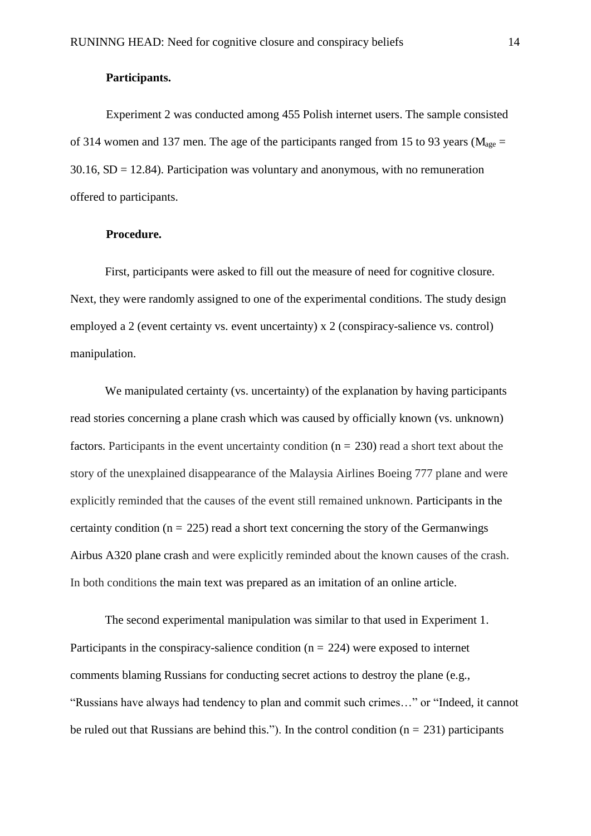#### **Participants.**

Experiment 2 was conducted among 455 Polish internet users. The sample consisted of 314 women and 137 men. The age of the participants ranged from 15 to 93 years ( $M_{\text{age}} =$  $30.16$ ,  $SD = 12.84$ ). Participation was voluntary and anonymous, with no remuneration offered to participants.

#### **Procedure.**

First, participants were asked to fill out the measure of need for cognitive closure. Next, they were randomly assigned to one of the experimental conditions. The study design employed a 2 (event certainty vs. event uncertainty) x 2 (conspiracy-salience vs. control) manipulation.

We manipulated certainty (vs. uncertainty) of the explanation by having participants read stories concerning a plane crash which was caused by officially known (vs. unknown) factors. Participants in the event uncertainty condition  $(n = 230)$  read a short text about the story of the unexplained disappearance of the Malaysia Airlines Boeing 777 plane and were explicitly reminded that the causes of the event still remained unknown. Participants in the certainty condition ( $n = 225$ ) read a short text concerning the story of the Germanwings Airbus A320 plane crash and were explicitly reminded about the known causes of the crash. In both conditions the main text was prepared as an imitation of an online article.

The second experimental manipulation was similar to that used in Experiment 1. Participants in the conspiracy-salience condition ( $n = 224$ ) were exposed to internet comments blaming Russians for conducting secret actions to destroy the plane (e.g., "Russians have always had tendency to plan and commit such crimes…" or "Indeed, it cannot be ruled out that Russians are behind this."). In the control condition ( $n = 231$ ) participants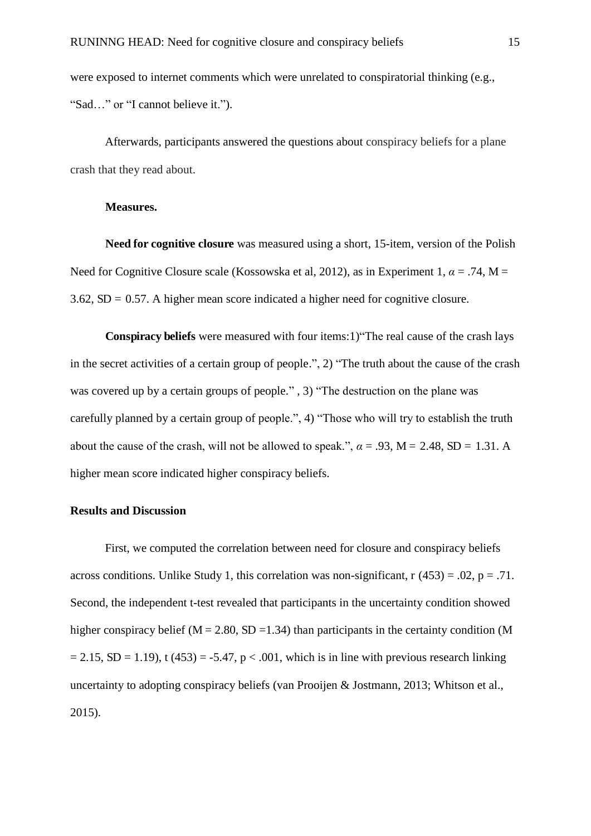were exposed to internet comments which were unrelated to conspiratorial thinking (e.g., "Sad…" or "I cannot believe it.").

Afterwards, participants answered the questions about conspiracy beliefs for a plane crash that they read about.

#### **Measures.**

**Need for cognitive closure** was measured using a short, 15-item, version of the Polish Need for Cognitive Closure scale (Kossowska et al, 2012), as in Experiment 1,  $\alpha$  = .74, M =  $3.62$ , SD = 0.57. A higher mean score indicated a higher need for cognitive closure.

**Conspiracy beliefs** were measured with four items:1)"The real cause of the crash lays in the secret activities of a certain group of people.", 2) "The truth about the cause of the crash was covered up by a certain groups of people.", 3) "The destruction on the plane was carefully planned by a certain group of people.", 4) "Those who will try to establish the truth about the cause of the crash, will not be allowed to speak.",  $\alpha = .93$ ,  $M = 2.48$ , SD = 1.31. A higher mean score indicated higher conspiracy beliefs.

#### **Results and Discussion**

First, we computed the correlation between need for closure and conspiracy beliefs across conditions. Unlike Study 1, this correlation was non-significant,  $r(453) = .02$ ,  $p = .71$ . Second, the independent t-test revealed that participants in the uncertainty condition showed higher conspiracy belief ( $M = 2.80$ , SD = 1.34) than participants in the certainty condition (M  $= 2.15$ , SD = 1.19), t (453) = -5.47, p < .001, which is in line with previous research linking uncertainty to adopting conspiracy beliefs (van Prooijen & Jostmann, 2013; Whitson et al., 2015).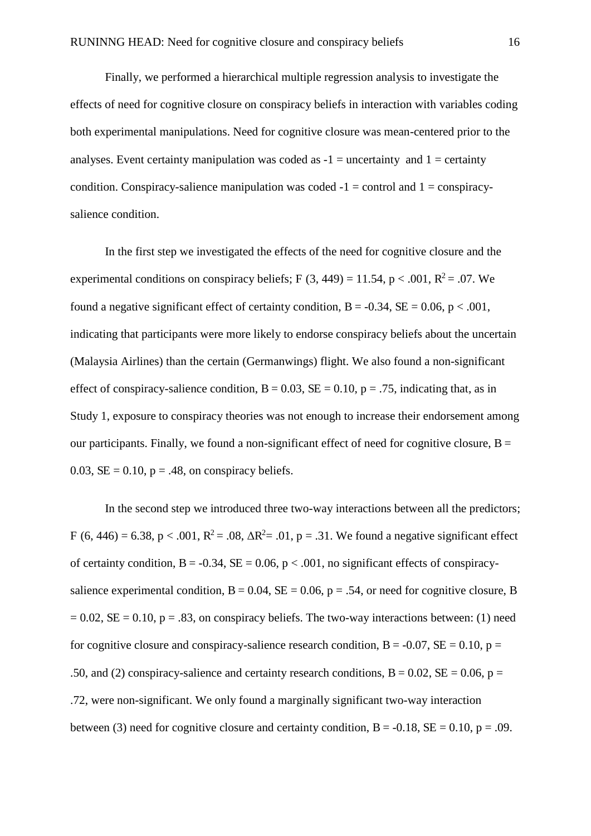Finally, we performed a hierarchical multiple regression analysis to investigate the effects of need for cognitive closure on conspiracy beliefs in interaction with variables coding both experimental manipulations. Need for cognitive closure was mean-centered prior to the analyses. Event certainty manipulation was coded as  $-1$  = uncertainty and  $1$  = certainty condition. Conspiracy-salience manipulation was coded  $-1 =$  control and  $1 =$  conspiracysalience condition.

In the first step we investigated the effects of the need for cognitive closure and the experimental conditions on conspiracy beliefs; F  $(3, 449) = 11.54$ , p < .001, R<sup>2</sup> = .07. We found a negative significant effect of certainty condition,  $B = -0.34$ ,  $SE = 0.06$ ,  $p < .001$ , indicating that participants were more likely to endorse conspiracy beliefs about the uncertain (Malaysia Airlines) than the certain (Germanwings) flight. We also found a non-significant effect of conspiracy-salience condition,  $B = 0.03$ ,  $SE = 0.10$ ,  $p = .75$ , indicating that, as in Study 1, exposure to conspiracy theories was not enough to increase their endorsement among our participants. Finally, we found a non-significant effect of need for cognitive closure,  $B =$ 0.03,  $SE = 0.10$ ,  $p = .48$ , on conspiracy beliefs.

In the second step we introduced three two-way interactions between all the predictors; F (6, 446) = 6.38, p < .001,  $R^2 = .08$ ,  $\Delta R^2 = .01$ , p = .31. We found a negative significant effect of certainty condition,  $B = -0.34$ ,  $SE = 0.06$ ,  $p < .001$ , no significant effects of conspiracysalience experimental condition,  $B = 0.04$ ,  $SE = 0.06$ ,  $p = .54$ , or need for cognitive closure, B  $= 0.02$ , SE  $= 0.10$ , p  $= 0.83$ , on conspiracy beliefs. The two-way interactions between: (1) need for cognitive closure and conspiracy-salience research condition,  $B = -0.07$ ,  $SE = 0.10$ ,  $p =$ .50, and (2) conspiracy-salience and certainty research conditions,  $B = 0.02$ ,  $SE = 0.06$ ,  $p =$ .72, were non-significant. We only found a marginally significant two-way interaction between (3) need for cognitive closure and certainty condition,  $B = -0.18$ ,  $SE = 0.10$ ,  $p = .09$ .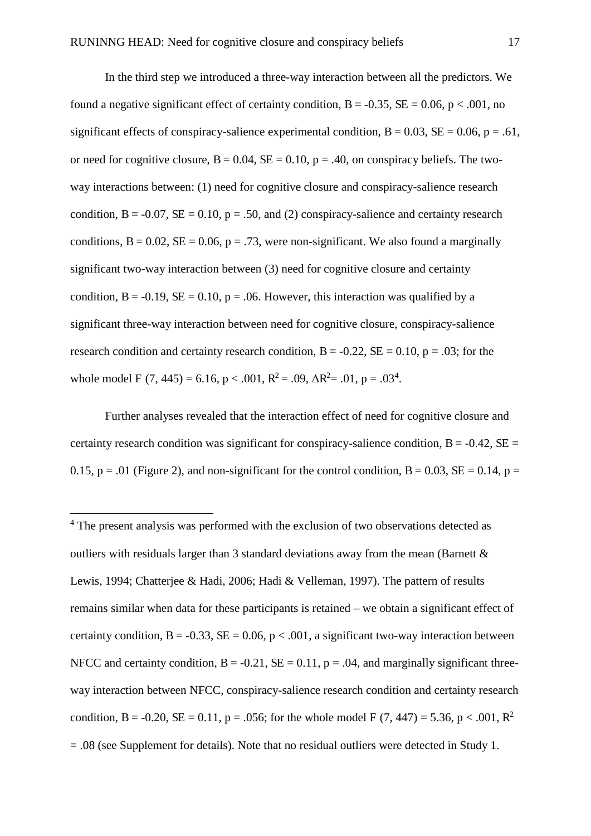In the third step we introduced a three-way interaction between all the predictors. We found a negative significant effect of certainty condition,  $B = -0.35$ ,  $SE = 0.06$ ,  $p < .001$ , no significant effects of conspiracy-salience experimental condition,  $B = 0.03$ ,  $SE = 0.06$ ,  $p = .61$ , or need for cognitive closure,  $B = 0.04$ ,  $SE = 0.10$ ,  $p = .40$ , on conspiracy beliefs. The twoway interactions between: (1) need for cognitive closure and conspiracy-salience research condition,  $B = -0.07$ ,  $SE = 0.10$ ,  $p = .50$ , and (2) conspiracy-salience and certainty research conditions,  $B = 0.02$ ,  $SE = 0.06$ ,  $p = .73$ , were non-significant. We also found a marginally significant two-way interaction between (3) need for cognitive closure and certainty condition,  $B = -0.19$ ,  $SE = 0.10$ ,  $p = .06$ . However, this interaction was qualified by a significant three-way interaction between need for cognitive closure, conspiracy-salience research condition and certainty research condition,  $B = -0.22$ ,  $SE = 0.10$ ,  $p = .03$ ; for the whole model F  $(7, 445) = 6.16$ , p < .001, R<sup>2</sup> = .09,  $\Delta$ R<sup>2</sup> = .01, p = .03<sup>4</sup>.

Further analyses revealed that the interaction effect of need for cognitive closure and certainty research condition was significant for conspiracy-salience condition,  $B = -0.42$ ,  $SE =$ 0.15, p = .01 (Figure 2), and non-significant for the control condition,  $B = 0.03$ ,  $SE = 0.14$ , p =

 $\overline{a}$ 

<sup>&</sup>lt;sup>4</sup> The present analysis was performed with the exclusion of two observations detected as outliers with residuals larger than 3 standard deviations away from the mean (Barnett & Lewis, 1994; Chatterjee & Hadi, 2006; Hadi & Velleman, 1997). The pattern of results remains similar when data for these participants is retained – we obtain a significant effect of certainty condition,  $B = -0.33$ ,  $SE = 0.06$ ,  $p < .001$ , a significant two-way interaction between NFCC and certainty condition,  $B = -0.21$ ,  $SE = 0.11$ ,  $p = .04$ , and marginally significant threeway interaction between NFCC, conspiracy-salience research condition and certainty research condition, B = -0.20, SE = 0.11, p = .056; for the whole model F (7, 447) = 5.36, p < .001,  $\mathbb{R}^2$  $= .08$  (see Supplement for details). Note that no residual outliers were detected in Study 1.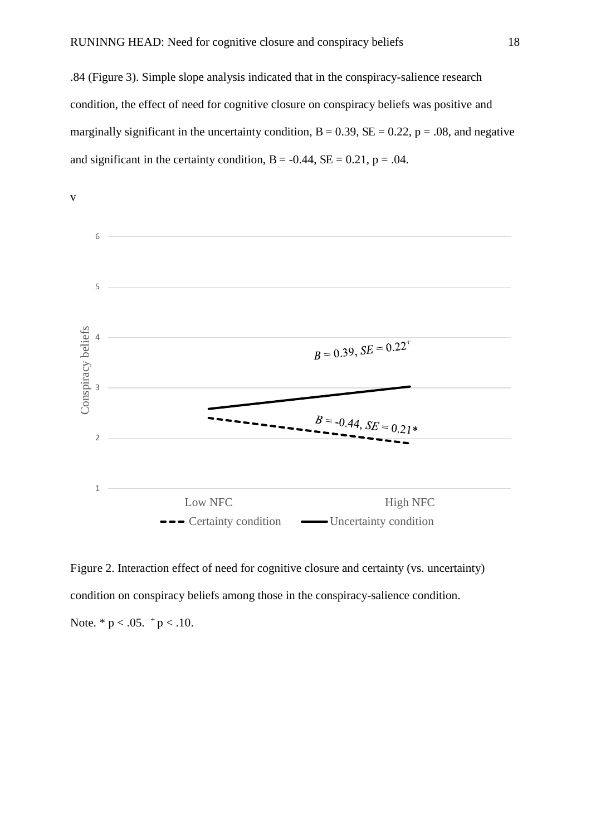.84 (Figure 3). Simple slope analysis indicated that in the conspiracy-salience research condition, the effect of need for cognitive closure on conspiracy beliefs was positive and marginally significant in the uncertainty condition,  $B = 0.39$ ,  $SE = 0.22$ ,  $p = .08$ , and negative and significant in the certainty condition,  $B = -0.44$ ,  $SE = 0.21$ ,  $p = .04$ .



Figure 2. Interaction effect of need for cognitive closure and certainty (vs. uncertainty) condition on conspiracy beliefs among those in the conspiracy-salience condition. Note.  $* p < .05.$   $^+ p < .10.$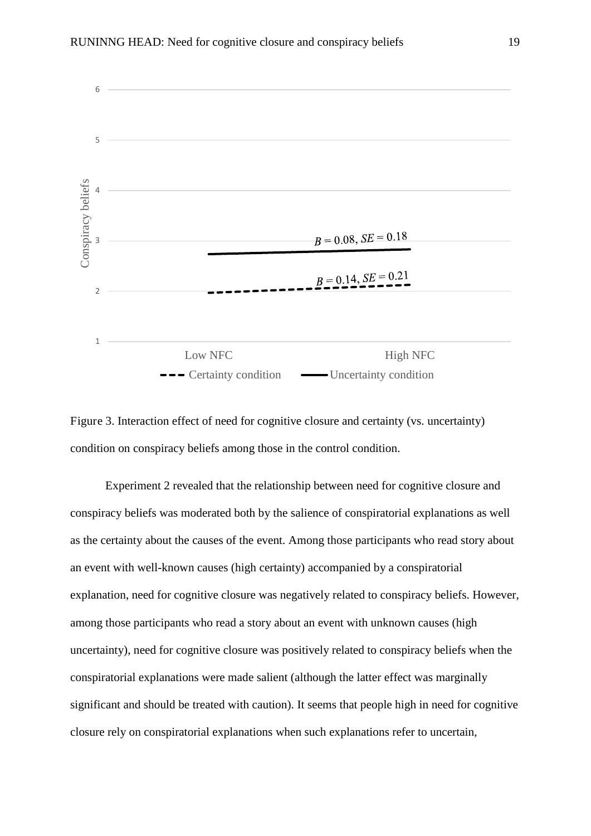



Experiment 2 revealed that the relationship between need for cognitive closure and conspiracy beliefs was moderated both by the salience of conspiratorial explanations as well as the certainty about the causes of the event. Among those participants who read story about an event with well-known causes (high certainty) accompanied by a conspiratorial explanation, need for cognitive closure was negatively related to conspiracy beliefs. However, among those participants who read a story about an event with unknown causes (high uncertainty), need for cognitive closure was positively related to conspiracy beliefs when the conspiratorial explanations were made salient (although the latter effect was marginally significant and should be treated with caution). It seems that people high in need for cognitive closure rely on conspiratorial explanations when such explanations refer to uncertain,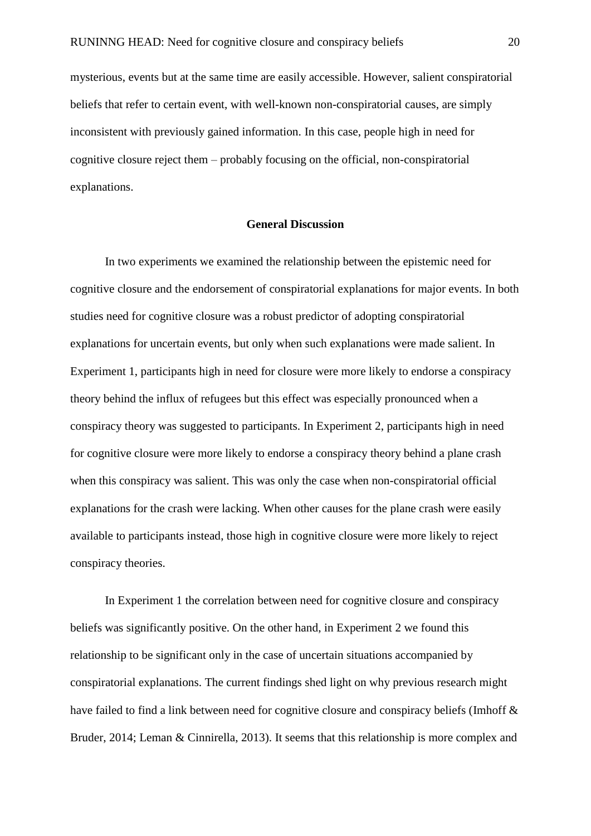mysterious, events but at the same time are easily accessible. However, salient conspiratorial beliefs that refer to certain event, with well-known non-conspiratorial causes, are simply inconsistent with previously gained information. In this case, people high in need for cognitive closure reject them – probably focusing on the official, non-conspiratorial explanations.

#### **General Discussion**

In two experiments we examined the relationship between the epistemic need for cognitive closure and the endorsement of conspiratorial explanations for major events. In both studies need for cognitive closure was a robust predictor of adopting conspiratorial explanations for uncertain events, but only when such explanations were made salient. In Experiment 1, participants high in need for closure were more likely to endorse a conspiracy theory behind the influx of refugees but this effect was especially pronounced when a conspiracy theory was suggested to participants. In Experiment 2, participants high in need for cognitive closure were more likely to endorse a conspiracy theory behind a plane crash when this conspiracy was salient. This was only the case when non-conspiratorial official explanations for the crash were lacking. When other causes for the plane crash were easily available to participants instead, those high in cognitive closure were more likely to reject conspiracy theories.

In Experiment 1 the correlation between need for cognitive closure and conspiracy beliefs was significantly positive. On the other hand, in Experiment 2 we found this relationship to be significant only in the case of uncertain situations accompanied by conspiratorial explanations. The current findings shed light on why previous research might have failed to find a link between need for cognitive closure and conspiracy beliefs (Imhoff & Bruder, 2014; Leman & Cinnirella, 2013). It seems that this relationship is more complex and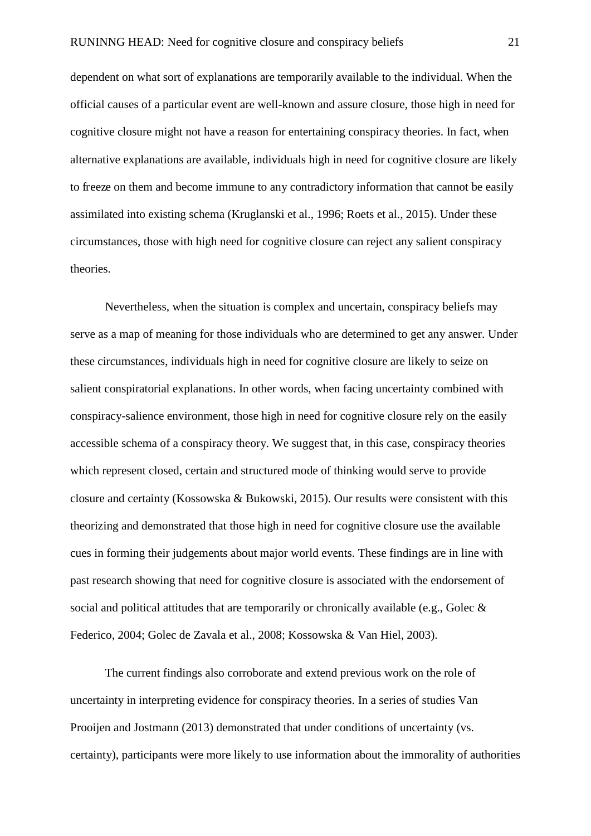dependent on what sort of explanations are temporarily available to the individual. When the official causes of a particular event are well-known and assure closure, those high in need for cognitive closure might not have a reason for entertaining conspiracy theories. In fact, when alternative explanations are available, individuals high in need for cognitive closure are likely to freeze on them and become immune to any contradictory information that cannot be easily assimilated into existing schema (Kruglanski et al., 1996; Roets et al., 2015). Under these circumstances, those with high need for cognitive closure can reject any salient conspiracy theories.

Nevertheless, when the situation is complex and uncertain, conspiracy beliefs may serve as a map of meaning for those individuals who are determined to get any answer. Under these circumstances, individuals high in need for cognitive closure are likely to seize on salient conspiratorial explanations. In other words, when facing uncertainty combined with conspiracy-salience environment, those high in need for cognitive closure rely on the easily accessible schema of a conspiracy theory. We suggest that, in this case, conspiracy theories which represent closed, certain and structured mode of thinking would serve to provide closure and certainty (Kossowska & Bukowski, 2015). Our results were consistent with this theorizing and demonstrated that those high in need for cognitive closure use the available cues in forming their judgements about major world events. These findings are in line with past research showing that need for cognitive closure is associated with the endorsement of social and political attitudes that are temporarily or chronically available (e.g., Golec  $\&$ Federico, 2004; Golec de Zavala et al., 2008; Kossowska & Van Hiel, 2003).

The current findings also corroborate and extend previous work on the role of uncertainty in interpreting evidence for conspiracy theories. In a series of studies Van Prooijen and Jostmann (2013) demonstrated that under conditions of uncertainty (vs. certainty), participants were more likely to use information about the immorality of authorities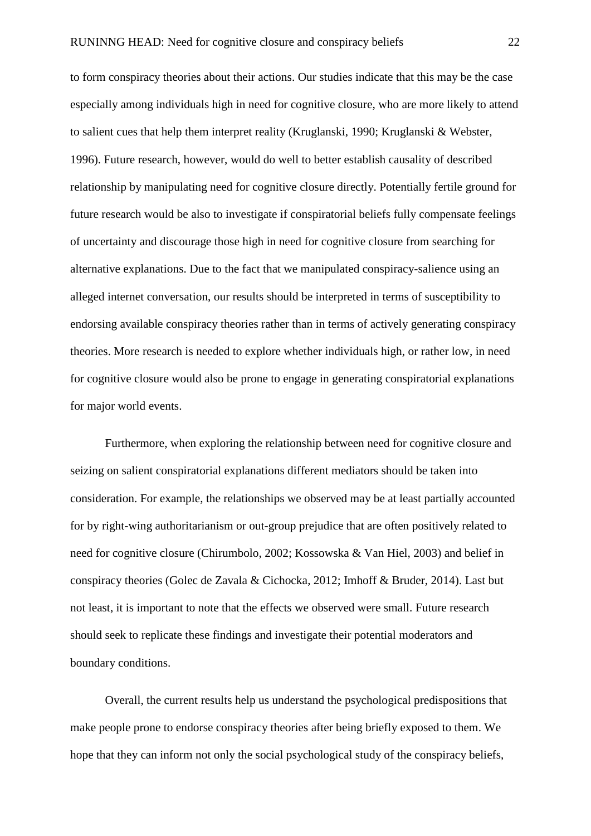to form conspiracy theories about their actions. Our studies indicate that this may be the case especially among individuals high in need for cognitive closure, who are more likely to attend to salient cues that help them interpret reality (Kruglanski, 1990; Kruglanski & Webster, 1996). Future research, however, would do well to better establish causality of described relationship by manipulating need for cognitive closure directly. Potentially fertile ground for future research would be also to investigate if conspiratorial beliefs fully compensate feelings of uncertainty and discourage those high in need for cognitive closure from searching for alternative explanations. Due to the fact that we manipulated conspiracy-salience using an alleged internet conversation, our results should be interpreted in terms of susceptibility to endorsing available conspiracy theories rather than in terms of actively generating conspiracy theories. More research is needed to explore whether individuals high, or rather low, in need for cognitive closure would also be prone to engage in generating conspiratorial explanations for major world events.

Furthermore, when exploring the relationship between need for cognitive closure and seizing on salient conspiratorial explanations different mediators should be taken into consideration. For example, the relationships we observed may be at least partially accounted for by right-wing authoritarianism or out-group prejudice that are often positively related to need for cognitive closure (Chirumbolo, 2002; Kossowska & Van Hiel, 2003) and belief in conspiracy theories (Golec de Zavala & Cichocka, 2012; Imhoff & Bruder, 2014). Last but not least, it is important to note that the effects we observed were small. Future research should seek to replicate these findings and investigate their potential moderators and boundary conditions.

Overall, the current results help us understand the psychological predispositions that make people prone to endorse conspiracy theories after being briefly exposed to them. We hope that they can inform not only the social psychological study of the conspiracy beliefs,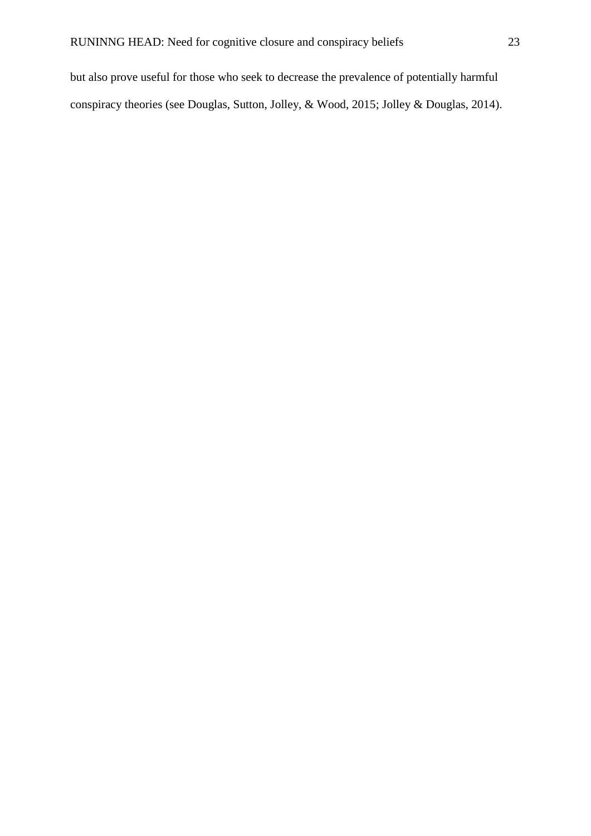but also prove useful for those who seek to decrease the prevalence of potentially harmful conspiracy theories (see Douglas, Sutton, Jolley, & Wood, 2015; Jolley & Douglas, 2014).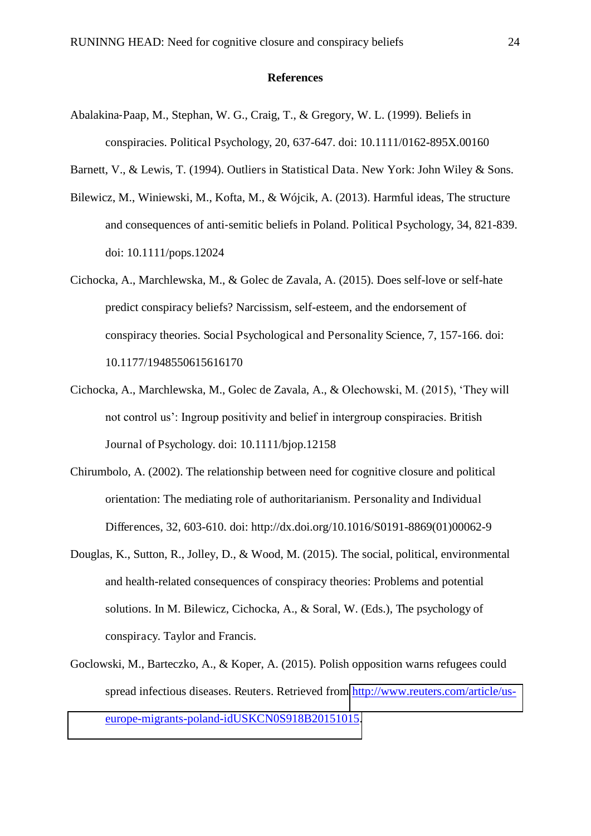#### **References**

- Abalakina-Paap, M., Stephan, W. G., Craig, T., & Gregory, W. L. (1999). Beliefs in conspiracies. Political Psychology, 20, 637-647. doi: 10.1111/0162-895X.00160
- Barnett, V., & Lewis, T. (1994). Outliers in Statistical Data. New York: John Wiley & Sons.
- Bilewicz, M., Winiewski, M., Kofta, M., & Wójcik, A. (2013). Harmful ideas, The structure and consequences of anti-semitic beliefs in Poland. Political Psychology, 34, 821-839. doi: 10.1111/pops.12024
- Cichocka, A., Marchlewska, M., & Golec de Zavala, A. (2015). Does self-love or self-hate predict conspiracy beliefs? Narcissism, self-esteem, and the endorsement of conspiracy theories. Social Psychological and Personality Science, 7, 157-166. doi: 10.1177/1948550615616170
- Cichocka, A., Marchlewska, M., Golec de Zavala, A., & Olechowski, M. (2015), 'They will not control us': Ingroup positivity and belief in intergroup conspiracies. British Journal of Psychology. doi: 10.1111/bjop.12158
- Chirumbolo, A. (2002). The relationship between need for cognitive closure and political orientation: The mediating role of authoritarianism. Personality and Individual Differences, 32, 603-610. doi: http://dx.doi.org/10.1016/S0191-8869(01)00062-9
- Douglas, K., Sutton, R., Jolley, D., & Wood, M. (2015). The social, political, environmental and health-related consequences of conspiracy theories: Problems and potential solutions. In M. Bilewicz, Cichocka, A., & Soral, W. (Eds.), The psychology of conspiracy. Taylor and Francis.
- Goclowski, M., Barteczko, A., & Koper, A. (2015). Polish opposition warns refugees could spread infectious diseases. Reuters. Retrieved from [http://www.reuters.com/article/us](http://www.reuters.com/article/us-europe-migrants-poland-idUSKCN0S918B20151015)[europe-migrants-poland-idUSKCN0S918B20151015.](http://www.reuters.com/article/us-europe-migrants-poland-idUSKCN0S918B20151015)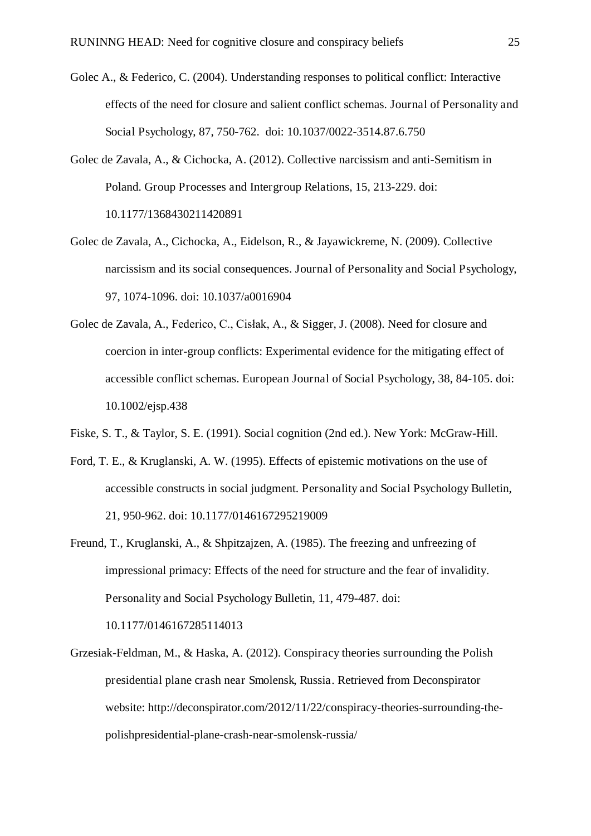- Golec A., & Federico, C. (2004). Understanding responses to political conflict: Interactive effects of the need for closure and salient conflict schemas. Journal of Personality and Social Psychology, 87, 750-762. doi: 10.1037/0022-3514.87.6.750
- Golec de Zavala, A., & Cichocka, A. (2012). Collective narcissism and anti-Semitism in Poland. Group Processes and Intergroup Relations, 15, 213-229. doi: 10.1177/1368430211420891
- Golec de Zavala, A., Cichocka, A., Eidelson, R., & Jayawickreme, N. (2009). Collective narcissism and its social consequences. Journal of Personality and Social Psychology, 97, 1074-1096. doi: 10.1037/a0016904
- Golec de Zavala, A., Federico, C., Cisłak, A., & Sigger, J. (2008). Need for closure and coercion in inter-group conflicts: Experimental evidence for the mitigating effect of accessible conflict schemas. European Journal of Social Psychology, 38, 84-105. doi: 10.1002/ejsp.438
- Fiske, S. T., & Taylor, S. E. (1991). Social cognition (2nd ed.). New York: McGraw-Hill.
- Ford, T. E., & Kruglanski, A. W. (1995). Effects of epistemic motivations on the use of accessible constructs in social judgment. Personality and Social Psychology Bulletin, 21, 950-962. doi: 10.1177/0146167295219009
- Freund, T., Kruglanski, A., & Shpitzajzen, A. (1985). The freezing and unfreezing of impressional primacy: Effects of the need for structure and the fear of invalidity. Personality and Social Psychology Bulletin, 11, 479-487. doi:

10.1177/0146167285114013

Grzesiak-Feldman, M., & Haska, A. (2012). Conspiracy theories surrounding the Polish presidential plane crash near Smolensk, Russia. Retrieved from Deconspirator website: http://deconspirator.com/2012/11/22/conspiracy-theories-surrounding-thepolishpresidential-plane-crash-near-smolensk-russia/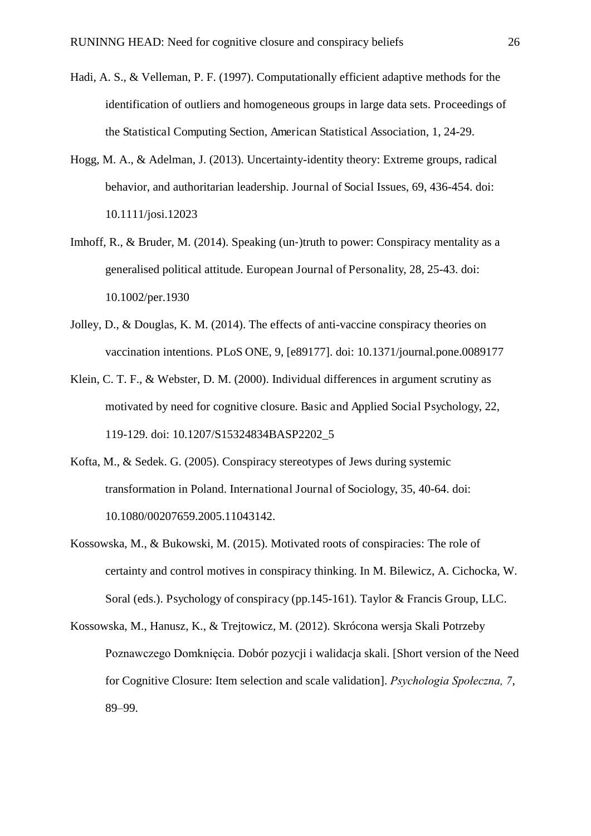- Hadi, A. S., & Velleman, P. F. (1997). Computationally efficient adaptive methods for the identification of outliers and homogeneous groups in large data sets. Proceedings of the Statistical Computing Section, American Statistical Association, 1, 24-29.
- Hogg, M. A., & Adelman, J. (2013). Uncertainty-identity theory: Extreme groups, radical behavior, and authoritarian leadership. Journal of Social Issues, 69, 436-454. doi: 10.1111/josi.12023
- Imhoff, R., & Bruder, M. (2014). Speaking (un-)truth to power: Conspiracy mentality as a generalised political attitude. European Journal of Personality, 28, 25-43. doi: 10.1002/per.1930
- Jolley, D., & Douglas, K. M. (2014). The effects of anti-vaccine conspiracy theories on vaccination intentions. PLoS ONE, 9, [e89177]. doi: 10.1371/journal.pone.0089177
- Klein, C. T. F., & Webster, D. M. (2000). Individual differences in argument scrutiny as motivated by need for cognitive closure. Basic and Applied Social Psychology, 22, 119-129. doi: 10.1207/S15324834BASP2202\_5
- Kofta, M., & Sedek. G. (2005). Conspiracy stereotypes of Jews during systemic transformation in Poland. International Journal of Sociology, 35, 40-64. doi: 10.1080/00207659.2005.11043142.
- Kossowska, M., & Bukowski, M. (2015). Motivated roots of conspiracies: The role of certainty and control motives in conspiracy thinking. In M. Bilewicz, A. Cichocka, W. Soral (eds.). Psychology of conspiracy (pp.145-161). Taylor & Francis Group, LLC.
- Kossowska, M., Hanusz, K., & Trejtowicz, M. (2012). Skrócona wersja Skali Potrzeby Poznawczego Domknięcia. Dobór pozycji i walidacja skali. [Short version of the Need for Cognitive Closure: Item selection and scale validation]. *Psychologia Społeczna, 7*, 89–99.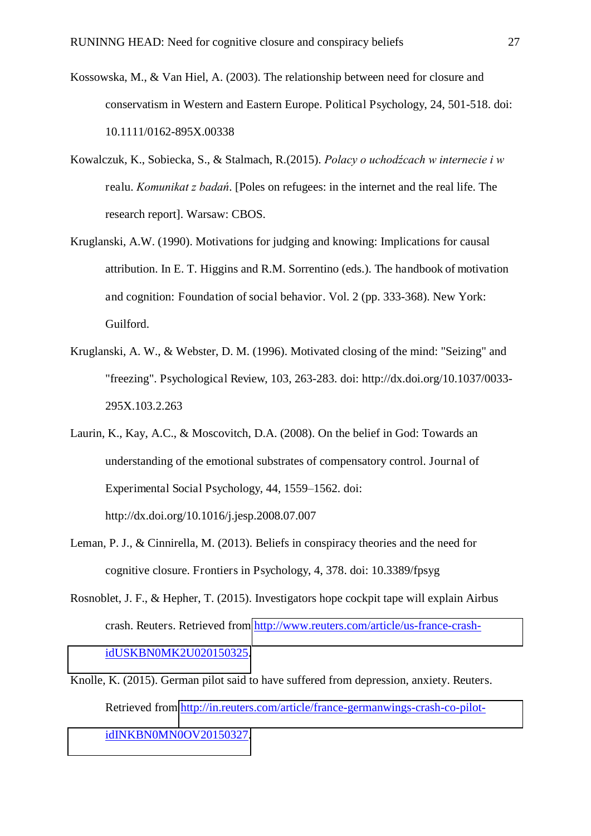- Kossowska, M., & Van Hiel, A. (2003). The relationship between need for closure and conservatism in Western and Eastern Europe. Political Psychology, 24, 501-518. doi: 10.1111/0162-895X.00338
- Kowalczuk, K., Sobiecka, S., & Stalmach, R.(2015). *Polacy o uchodźcach w internecie i w* realu. *Komunikat z badań*. [Poles on refugees: in the internet and the real life. The research report]. Warsaw: CBOS.
- Kruglanski, A.W. (1990). Motivations for judging and knowing: Implications for causal attribution. In E. T. Higgins and R.M. Sorrentino (eds.). The handbook of motivation and cognition: Foundation of social behavior. Vol. 2 (pp. 333-368). New York: Guilford.
- Kruglanski, A. W., & Webster, D. M. (1996). Motivated closing of the mind: "Seizing" and "freezing". Psychological Review, 103, 263-283. doi: http://dx.doi.org/10.1037/0033- 295X.103.2.263
- Laurin, K., Kay, A.C., & Moscovitch, D.A. (2008). On the belief in God: Towards an understanding of the emotional substrates of compensatory control. Journal of Experimental Social Psychology, 44, 1559–1562. doi: http://dx.doi.org/10.1016/j.jesp.2008.07.007
- Leman, P. J., & Cinnirella, M. (2013). Beliefs in conspiracy theories and the need for cognitive closure. Frontiers in Psychology, 4, 378. doi: 10.3389/fpsyg
- Rosnoblet, J. F., & Hepher, T. (2015). Investigators hope cockpit tape will explain Airbus crash. Reuters. Retrieved from [http://www.reuters.com/article/us-france-crash](http://www.reuters.com/article/us-france-crash-idUSKBN0MK2U020150325)[idUSKBN0MK2U020150325.](http://www.reuters.com/article/us-france-crash-idUSKBN0MK2U020150325)
- Knolle, K. (2015). German pilot said to have suffered from depression, anxiety. Reuters. Retrieved from [http://in.reuters.com/article/france-germanwings-crash-co-pilot](http://in.reuters.com/article/france-germanwings-crash-co-pilot-idINKBN0MN0OV20150327)[idINKBN0MN0OV20150327.](http://in.reuters.com/article/france-germanwings-crash-co-pilot-idINKBN0MN0OV20150327)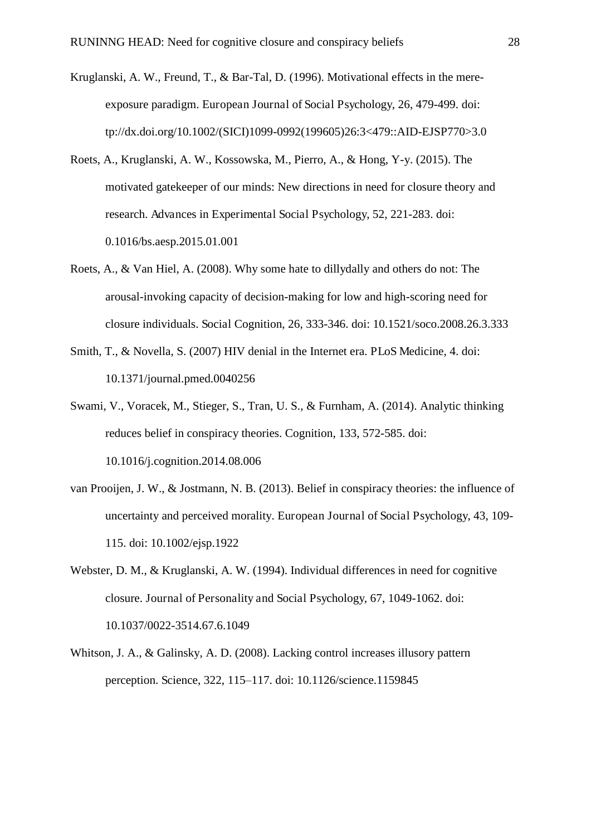- Kruglanski, A. W., Freund, T., & Bar-Tal, D. (1996). Motivational effects in the mereexposure paradigm. European Journal of Social Psychology, 26, 479-499. doi: tp://dx.doi.org/10.1002/(SICI)1099-0992(199605)26:3<479::AID-EJSP770>3.0
- Roets, A., Kruglanski, A. W., Kossowska, M., Pierro, A., & Hong, Y-y. (2015). The motivated gatekeeper of our minds: New directions in need for closure theory and research. Advances in Experimental Social Psychology, 52, 221-283. doi: 0.1016/bs.aesp.2015.01.001
- Roets, A., & Van Hiel, A. (2008). Why some hate to dillydally and others do not: The arousal-invoking capacity of decision-making for low and high-scoring need for closure individuals. Social Cognition, 26, 333-346. doi: 10.1521/soco.2008.26.3.333
- Smith, T., & Novella, S. (2007) HIV denial in the Internet era. PLoS Medicine, 4. doi: 10.1371/journal.pmed.0040256
- Swami, V., Voracek, M., Stieger, S., Tran, U. S., & Furnham, A. (2014). Analytic thinking reduces belief in conspiracy theories. Cognition, 133, 572-585. doi: 10.1016/j.cognition.2014.08.006
- van Prooijen, J. W., & Jostmann, N. B. (2013). Belief in conspiracy theories: the influence of uncertainty and perceived morality. European Journal of Social Psychology, 43, 109- 115. doi: 10.1002/ejsp.1922
- Webster, D. M., & Kruglanski, A. W. (1994). Individual differences in need for cognitive closure. Journal of Personality and Social Psychology, 67, 1049-1062. doi: 10.1037/0022-3514.67.6.1049
- Whitson, J. A., & Galinsky, A. D. (2008). Lacking control increases illusory pattern perception. Science, 322, 115–117. doi: 10.1126/science.1159845